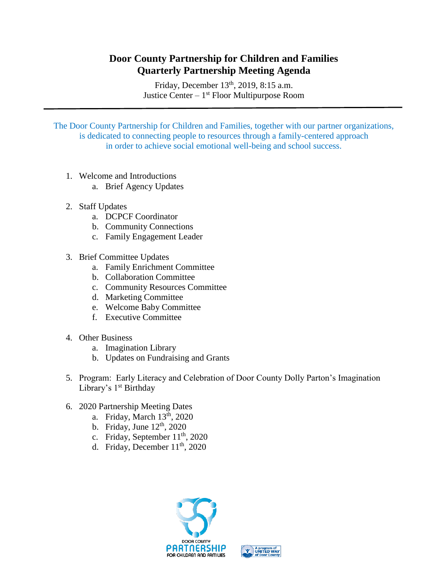## **Door County Partnership for Children and Families Quarterly Partnership Meeting Agenda**

Friday, December 13<sup>th</sup>, 2019, 8:15 a.m. Justice Center – 1<sup>st</sup> Floor Multipurpose Room

The Door County Partnership for Children and Families, together with our partner organizations, is dedicated to connecting people to resources through a family-centered approach in order to achieve social emotional well-being and school success.

- 1. Welcome and Introductions
	- a. Brief Agency Updates
- 2. Staff Updates
	- a. DCPCF Coordinator
	- b. Community Connections
	- c. Family Engagement Leader
- 3. Brief Committee Updates
	- a. Family Enrichment Committee
	- b. Collaboration Committee
	- c. Community Resources Committee
	- d. Marketing Committee
	- e. Welcome Baby Committee
	- f. Executive Committee
- 4. Other Business
	- a. Imagination Library
	- b. Updates on Fundraising and Grants
- 5. Program: Early Literacy and Celebration of Door County Dolly Parton's Imagination Library's 1<sup>st</sup> Birthday
- 6. 2020 Partnership Meeting Dates
	- a. Friday, March  $13<sup>th</sup>$ , 2020
	- b. Friday, June  $12<sup>th</sup>$ , 2020
	- c. Friday, September 11<sup>th</sup>, 2020
	- d. Friday, December  $11<sup>th</sup>$ , 2020



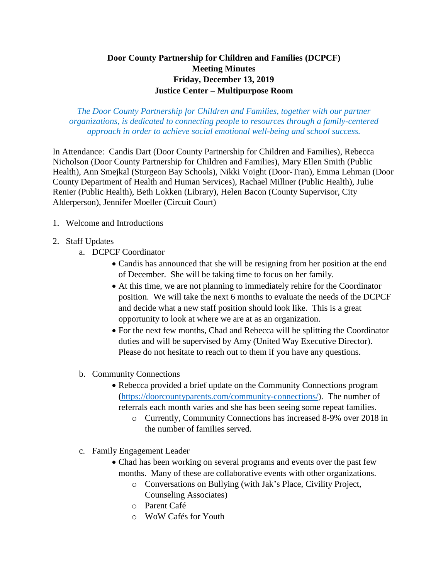## **Door County Partnership for Children and Families (DCPCF) Meeting Minutes Friday, December 13, 2019 Justice Center – Multipurpose Room**

*The Door County Partnership for Children and Families, together with our partner organizations, is dedicated to connecting people to resources through a family-centered approach in order to achieve social emotional well-being and school success.*

In Attendance: Candis Dart (Door County Partnership for Children and Families), Rebecca Nicholson (Door County Partnership for Children and Families), Mary Ellen Smith (Public Health), Ann Smejkal (Sturgeon Bay Schools), Nikki Voight (Door-Tran), Emma Lehman (Door County Department of Health and Human Services), Rachael Millner (Public Health), Julie Renier (Public Health), Beth Lokken (Library), Helen Bacon (County Supervisor, City Alderperson), Jennifer Moeller (Circuit Court)

- 1. Welcome and Introductions
- 2. Staff Updates
	- a. DCPCF Coordinator
		- Candis has announced that she will be resigning from her position at the end of December. She will be taking time to focus on her family.
		- At this time, we are not planning to immediately rehire for the Coordinator position. We will take the next 6 months to evaluate the needs of the DCPCF and decide what a new staff position should look like. This is a great opportunity to look at where we are at as an organization.
		- For the next few months, Chad and Rebecca will be splitting the Coordinator duties and will be supervised by Amy (United Way Executive Director). Please do not hesitate to reach out to them if you have any questions.
	- b. Community Connections
		- Rebecca provided a brief update on the Community Connections program [\(https://doorcountyparents.com/community-connections/\)](https://doorcountyparents.com/community-connections/). The number of referrals each month varies and she has been seeing some repeat families.
			- o Currently, Community Connections has increased 8-9% over 2018 in the number of families served.
	- c. Family Engagement Leader
		- Chad has been working on several programs and events over the past few months. Many of these are collaborative events with other organizations.
			- o Conversations on Bullying (with Jak's Place, Civility Project, Counseling Associates)
			- o Parent Café
			- o WoW Cafés for Youth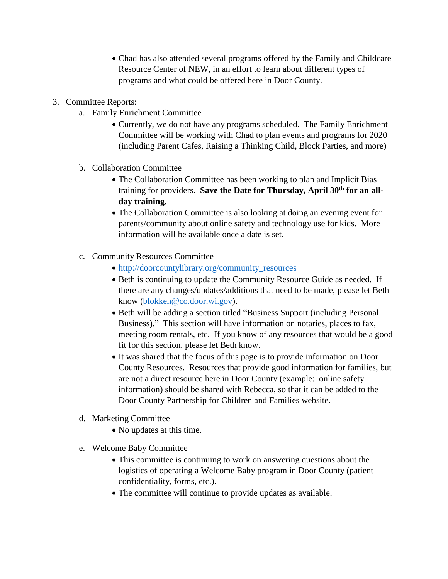- Chad has also attended several programs offered by the Family and Childcare Resource Center of NEW, in an effort to learn about different types of programs and what could be offered here in Door County.
- 3. Committee Reports:
	- a. Family Enrichment Committee
		- Currently, we do not have any programs scheduled. The Family Enrichment Committee will be working with Chad to plan events and programs for 2020 (including Parent Cafes, Raising a Thinking Child, Block Parties, and more)
	- b. Collaboration Committee
		- The Collaboration Committee has been working to plan and Implicit Bias training for providers. **Save the Date for Thursday, April 30th for an allday training.**
		- The Collaboration Committee is also looking at doing an evening event for parents/community about online safety and technology use for kids. More information will be available once a date is set.
	- c. Community Resources Committee
		- [http://doorcountylibrary.org/community\\_resources](http://doorcountylibrary.org/community_resources)
		- Beth is continuing to update the Community Resource Guide as needed. If there are any changes/updates/additions that need to be made, please let Beth know [\(blokken@co.door.wi.gov\)](mailto:blokken@co.door.wi.gov).
		- Beth will be adding a section titled "Business Support (including Personal Business)." This section will have information on notaries, places to fax, meeting room rentals, etc. If you know of any resources that would be a good fit for this section, please let Beth know.
		- It was shared that the focus of this page is to provide information on Door County Resources. Resources that provide good information for families, but are not a direct resource here in Door County (example: online safety information) should be shared with Rebecca, so that it can be added to the Door County Partnership for Children and Families website.
	- d. Marketing Committee
		- No updates at this time.
	- e. Welcome Baby Committee
		- This committee is continuing to work on answering questions about the logistics of operating a Welcome Baby program in Door County (patient confidentiality, forms, etc.).
		- The committee will continue to provide updates as available.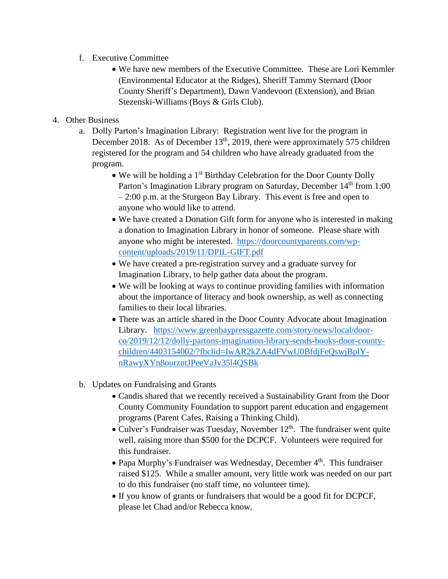- f. Executive Committee
	- We have new members of the Executive Committee. These are Lori Kemmler (Environmental Educator at the Ridges), Sheriff Tammy Sternard (Door County Sheriff's Department), Dawn Vandevoort (Extension), and Brian Stezenski-Williams (Boys & Girls Club).

## 4. Other Business

- a. Dolly Parton's Imagination Library: Registration went live for the program in December 2018. As of December  $13<sup>th</sup>$ , 2019, there were approximately 575 children registered for the program and 54 children who have already graduated from the program.
	- We will be holding a 1<sup>st</sup> Birthday Celebration for the Door County Dolly Parton's Imagination Library program on Saturday, December 14<sup>th</sup> from 1:00 – 2:00 p.m. at the Sturgeon Bay Library. This event is free and open to anyone who would like to attend.
	- We have created a Donation Gift form for anyone who is interested in making a donation to Imagination Library in honor of someone. Please share with anyone who might be interested. [https://doorcountyparents.com/wp](https://doorcountyparents.com/wp-content/uploads/2019/11/DPIL-GIFT.pdf)[content/uploads/2019/11/DPIL-GIFT.pdf](https://doorcountyparents.com/wp-content/uploads/2019/11/DPIL-GIFT.pdf)
	- We have created a pre-registration survey and a graduate survey for Imagination Library, to help gather data about the program.
	- We will be looking at ways to continue providing families with information about the importance of literacy and book ownership, as well as connecting families to their local libraries.
	- There was an article shared in the Door County Advocate about Imagination Library. [https://www.greenbaypressgazette.com/story/news/local/door](https://www.greenbaypressgazette.com/story/news/local/door-co/2019/12/12/dolly-partons-imagination-library-sends-books-door-county-children/4403154002/?fbclid=IwAR2kZA4dFVwU0BfdjFeQswjBplY-nRawyXYn8ourzntJPeeVaJv35l4QSBk)[co/2019/12/12/dolly-partons-imagination-library-sends-books-door-county](https://www.greenbaypressgazette.com/story/news/local/door-co/2019/12/12/dolly-partons-imagination-library-sends-books-door-county-children/4403154002/?fbclid=IwAR2kZA4dFVwU0BfdjFeQswjBplY-nRawyXYn8ourzntJPeeVaJv35l4QSBk)[children/4403154002/?fbclid=IwAR2kZA4dFVwU0BfdjFeQswjBplY](https://www.greenbaypressgazette.com/story/news/local/door-co/2019/12/12/dolly-partons-imagination-library-sends-books-door-county-children/4403154002/?fbclid=IwAR2kZA4dFVwU0BfdjFeQswjBplY-nRawyXYn8ourzntJPeeVaJv35l4QSBk)[nRawyXYn8ourzntJPeeVaJv35l4QSBk](https://www.greenbaypressgazette.com/story/news/local/door-co/2019/12/12/dolly-partons-imagination-library-sends-books-door-county-children/4403154002/?fbclid=IwAR2kZA4dFVwU0BfdjFeQswjBplY-nRawyXYn8ourzntJPeeVaJv35l4QSBk)
- b. Updates on Fundraising and Grants
	- Candis shared that we recently received a Sustainability Grant from the Door County Community Foundation to support parent education and engagement programs (Parent Cafes, Raising a Thinking Child).
	- Culver's Fundraiser was Tuesday, November  $12<sup>th</sup>$ . The fundraiser went quite well, raising more than \$500 for the DCPCF. Volunteers were required for this fundraiser.
	- Papa Murphy's Fundraiser was Wednesday, December  $4<sup>th</sup>$ . This fundraiser raised \$125. While a smaller amount, very little work was needed on our part to do this fundraiser (no staff time, no volunteer time).
	- If you know of grants or fundraisers that would be a good fit for DCPCF, please let Chad and/or Rebecca know.